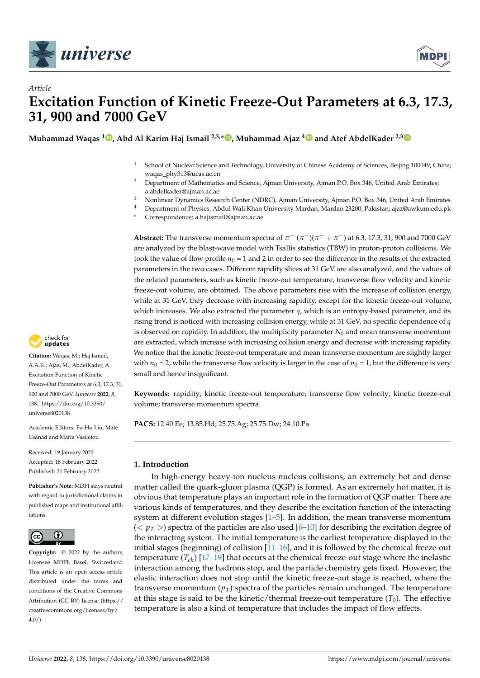



# *Article* **Excitation Function of Kinetic Freeze-Out Parameters at 6.3, 17.3, 31, 900 and 7000 GeV**

**Muhammad Waqas <sup>1</sup> , Abd Al Karim Haj Ismail 2,3,\* , Muhammad Ajaz <sup>4</sup> and Atef AbdelKader 2,3**

- <sup>1</sup> School of Nuclear Science and Technology, University of Chinese Academy of Sciences, Beijing 100049, China; waqas\_phy313@ucas.ac.cn
- <sup>2</sup> Department of Mathematics and Science, Ajman University, Ajman P.O. Box 346, United Arab Emirates; a.abdelkader@ajman.ac.ae
- <sup>3</sup> Nonlinear Dynamics Research Center (NDRC), Ajman University, Ajman P.O. Box 346, United Arab Emirates
- <sup>4</sup> Department of Physics, Abdul Wali Khan University Mardan, Mardan 23200, Pakistan; ajaz@awkum.edu.pk
- **\*** Correspondence: a.hajismail@ajman.ac.ae

**Abstract:** The transverse momentum spectra of  $\pi^+$  ( $\pi^-$ )( $\pi^+$  +  $\pi^-$ ) at 6.3, 17.3, 31, 900 and 7000 GeV are analyzed by the blast-wave model with Tsallis statistics (TBW) in proton-proton collisions. We took the value of flow profile  $n_0 = 1$  and 2 in order to see the difference in the results of the extracted parameters in the two cases. Different rapidity slices at 31 GeV are also analyzed, and the values of the related parameters, such as kinetic freeze-out temperature, transverse flow velocity and kinetic freeze-out volume, are obtained. The above parameters rise with the increase of collision energy, while at 31 GeV, they decrease with increasing rapidity, except for the kinetic freeze-out volume, which increases. We also extracted the parameter *q*, which is an entropy-based parameter, and its rising trend is noticed with increasing collision energy, while at 31 GeV, no specific dependence of *q* is observed on rapidity. In addition, the multiplicity parameter  $N_0$  and mean transverse momentum are extracted, which increase with increasing collision energy and decrease with increasing rapidity. We notice that the kinetic freeze-out temperature and mean transverse momentum are slightly larger with  $n_0 = 2$ , while the transverse flow velocity is larger in the case of  $n_0 = 1$ , but the difference is very small and hence insignificant.

**Keywords:** rapidity; kinetic freeze-out temperature; transverse flow velocity; kinetic freeze-out volume; transverse momentum spectra

**PACS:** 12.40.Ee; 13.85.Hd; 25.75.Ag; 25.75.Dw; 24.10.Pa

## **1. Introduction**

In high-energy heavy-ion nucleus-nucleus collisions, an extremely hot and dense matter called the quark-gluon plasma (QGP) is formed. As an extremely hot matter, it is obvious that temperature plays an important role in the formation of QGP matter. There are various kinds of temperatures, and they describe the excitation function of the interacting system at different evolution stages  $[1–5]$ . In addition, the mean transverse momentum  $(< p_T >$ ) spectra of the particles are also used [6–10] for describing the excitation degree of the interacting system. The initial temperature is the earliest temperature displayed in the initial stages (beginning) of collision [11–16], and it is followed by the chemical freeze-out temperature (*Tch*) [17–19] that occurs at the chemical freeze-out stage where the inelastic interaction among the hadrons stop, and the particle chemistry gets fixed. However, the elastic interaction does not stop until the kinetic freeze-out stage is reached, where the transverse momentum  $(p_T)$  spectra of the particles remain unchanged. The temperature at this stage is said to be the kinetic/thermal freeze-out temperature  $(T_0)$ . The effective temperature is also a kind of temperature that includes the impact of flow effects.



**Citation:** Waqas, M.; Haj Ismail, A.A.K.; Ajaz, M.; AbdelKader, A. Excitation Function of Kinetic Freeze-Out Parameters at 6.3, 17.3, 31, 900 and 7000 GeV. *Universe* **2022**, *8*, 138. https://doi.org/10.3390/ universe8020138

Academic Editors: Fu-Hu Liu, Máté Csanád and Maria Vasileiou

Received: 19 January 2022 Accepted: 18 February 2022 Published: 21 February 2022

**Publisher's Note:** MDPI stays neutral with regard to jurisdictional claims in published maps and institutional affiliations.



**Copyright:** © 2022 by the authors. Licensee MDPI, Basel, Switzerland. This article is an open access article distributed under the terms and conditions of the Creative Commons Attribution (CC BY) license (https:// creativecommons.org/licenses/by/  $4.0/$ ).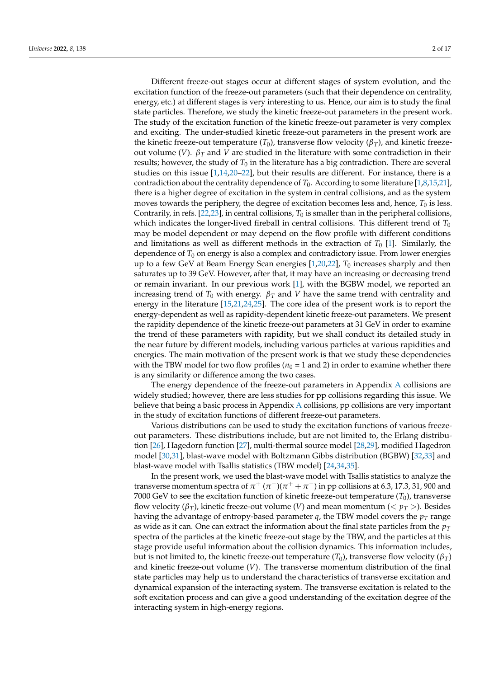Different freeze-out stages occur at different stages of system evolution, and the excitation function of the freeze-out parameters (such that their dependence on centrality, energy, etc.) at different stages is very interesting to us. Hence, our aim is to study the final state particles. Therefore, we study the kinetic freeze-out parameters in the present work. The study of the excitation function of the kinetic freeze-out parameter is very complex and exciting. The under-studied kinetic freeze-out parameters in the present work are the kinetic freeze-out temperature  $(T_0)$ , transverse flow velocity  $(\beta_T)$ , and kinetic freezeout volume (*V*). *β<sup>T</sup>* and *V* are studied in the literature with some contradiction in their results; however, the study of  $T_0$  in the literature has a big contradiction. There are several studies on this issue  $[1,14,20-22]$ , but their results are different. For instance, there is a contradiction about the centrality dependence of  $T_0$ . According to some literature [1,8,15,21], there is a higher degree of excitation in the system in central collisions, and as the system moves towards the periphery, the degree of excitation becomes less and, hence,  $T_0$  is less. Contrarily, in refs.  $[22,23]$ , in central collisions,  $T_0$  is smaller than in the peripheral collisions, which indicates the longer-lived fireball in central collisions. This different trend of  $T_0$ may be model dependent or may depend on the flow profile with different conditions and limitations as well as different methods in the extraction of  $T_0$  [1]. Similarly, the dependence of  $T_0$  on energy is also a complex and contradictory issue. From lower energies up to a few GeV at Beam Energy Scan energies [1,20,22], *T*<sup>0</sup> increases sharply and then saturates up to 39 GeV. However, after that, it may have an increasing or decreasing trend or remain invariant. In our previous work [1], with the BGBW model, we reported an increasing trend of  $T_0$  with energy.  $\beta_T$  and  $V$  have the same trend with centrality and energy in the literature [15,21,24,25]. The core idea of the present work is to report the energy-dependent as well as rapidity-dependent kinetic freeze-out parameters. We present the rapidity dependence of the kinetic freeze-out parameters at 31 GeV in order to examine the trend of these parameters with rapidity, but we shall conduct its detailed study in the near future by different models, including various particles at various rapidities and energies. The main motivation of the present work is that we study these dependencies with the TBW model for two flow profiles ( $n_0$  = 1 and 2) in order to examine whether there is any similarity or difference among the two cases.

The energy dependence of the freeze-out parameters in Appendix A collisions are widely studied; however, there are less studies for pp collisions regarding this issue. We believe that being a basic process in Appendix A collisions, pp collisions are very important in the study of excitation functions of different freeze-out parameters.

Various distributions can be used to study the excitation functions of various freezeout parameters. These distributions include, but are not limited to, the Erlang distribution [26], Hagedorn function [27], multi-thermal source model [28,29], modified Hagedron model [30,31], blast-wave model with Boltzmann Gibbs distribution (BGBW) [32,33] and blast-wave model with Tsallis statistics (TBW model) [24,34,35].

In the present work, we used the blast-wave model with Tsallis statistics to analyze the transverse momentum spectra of  $\pi^+$  ( $\pi^-$ )( $\pi^+$  +  $\pi^-$ ) in pp collisions at 6.3, 17.3, 31, 900 and 7000 GeV to see the excitation function of kinetic freeze-out temperature  $(T_0)$ , transverse flow velocity ( $\beta_T$ ), kinetic freeze-out volume (*V*) and mean momentum ( $\langle \gamma_T \rangle$ ). Besides having the advantage of entropy-based parameter  $q$ , the TBW model covers the  $p<sub>T</sub>$  range as wide as it can. One can extract the information about the final state particles from the  $p_T$ spectra of the particles at the kinetic freeze-out stage by the TBW, and the particles at this stage provide useful information about the collision dynamics. This information includes, but is not limited to, the kinetic freeze-out temperature (*T*<sub>0</sub>), transverse flow velocity ( $β_T$ ) and kinetic freeze-out volume (*V*). The transverse momentum distribution of the final state particles may help us to understand the characteristics of transverse excitation and dynamical expansion of the interacting system. The transverse excitation is related to the soft excitation process and can give a good understanding of the excitation degree of the interacting system in high-energy regions.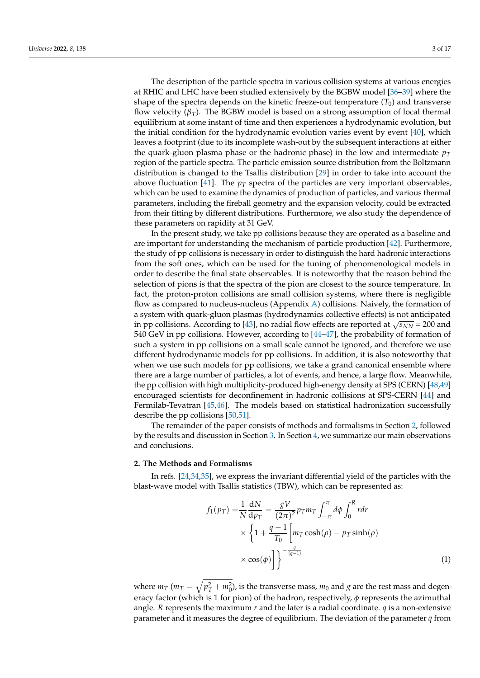The description of the particle spectra in various collision systems at various energies at RHIC and LHC have been studied extensively by the BGBW model [36–39] where the shape of the spectra depends on the kinetic freeze-out temperature  $(T_0)$  and transverse flow velocity  $(\beta_T)$ . The BGBW model is based on a strong assumption of local thermal equilibrium at some instant of time and then experiences a hydrodynamic evolution, but the initial condition for the hydrodynamic evolution varies event by event [40], which leaves a footprint (due to its incomplete wash-out by the subsequent interactions at either the quark-gluon plasma phase or the hadronic phase) in the low and intermediate  $p_T$ region of the particle spectra. The particle emission source distribution from the Boltzmann distribution is changed to the Tsallis distribution [29] in order to take into account the above fluctuation [41]. The  $p_T$  spectra of the particles are very important observables, which can be used to examine the dynamics of production of particles, and various thermal parameters, including the fireball geometry and the expansion velocity, could be extracted from their fitting by different distributions. Furthermore, we also study the dependence of these parameters on rapidity at 31 GeV.

In the present study, we take pp collisions because they are operated as a baseline and are important for understanding the mechanism of particle production [42]. Furthermore, the study of pp collisions is necessary in order to distinguish the hard hadronic interactions from the soft ones, which can be used for the tuning of phenomenological models in order to describe the final state observables. It is noteworthy that the reason behind the selection of pions is that the spectra of the pion are closest to the source temperature. In fact, the proton-proton collisions are small collision systems, where there is negligible flow as compared to nucleus-nucleus (Appendix A) collisions. Naively, the formation of a system with quark-gluon plasmas (hydrodynamics collective effects) is not anticipated in pp collisions. According to [43], no radial flow effects are reported at  $\sqrt{s_{NN}}$  = 200 and 540 GeV in pp collisions. However, according to [44–47], the probability of formation of such a system in pp collisions on a small scale cannot be ignored, and therefore we use different hydrodynamic models for pp collisions. In addition, it is also noteworthy that when we use such models for pp collisions, we take a grand canonical ensemble where there are a large number of particles, a lot of events, and hence, a large flow. Meanwhile, the pp collision with high multiplicity-produced high-energy density at SPS (CERN) [48,49] encouraged scientists for deconfinement in hadronic collisions at SPS-CERN [44] and Fermilab-Tevatran [45,46]. The models based on statistical hadronization successfully describe the pp collisions [50,51].

The remainder of the paper consists of methods and formalisms in Section 2, followed by the results and discussion in Section 3. In Section 4, we summarize our main observations and conclusions.

#### **2. The Methods and Formalisms**

In refs. [24,34,35], we express the invariant differential yield of the particles with the blast-wave model with Tsallis statistics (TBW), which can be represented as:

$$
f_1(p_T) = \frac{1}{N} \frac{dN}{dp_T} = \frac{gV}{(2\pi)^2} p_T m_T \int_{-\pi}^{\pi} d\phi \int_0^R r dr
$$
  
 
$$
\times \left\{ 1 + \frac{q-1}{T_0} \left[ m_T \cosh(\rho) - p_T \sinh(\rho) \right] \right\}
$$
  
 
$$
\times \cos(\phi) \left[ \int_0^{\pi} \right] \tag{1}
$$

where  $m_T$  ( $m_T = \sqrt{p_T^2 + m_0^2}$ ), is the transverse mass,  $m_0$  and  $g$  are the rest mass and degeneracy factor (which is 1 for pion) of the hadron, respectively, *φ* represents the azimuthal angle. *R* represents the maximum  $r$  and the later is a radial coordinate.  $q$  is a non-extensive parameter and it measures the degree of equilibrium. The deviation of the parameter *q* from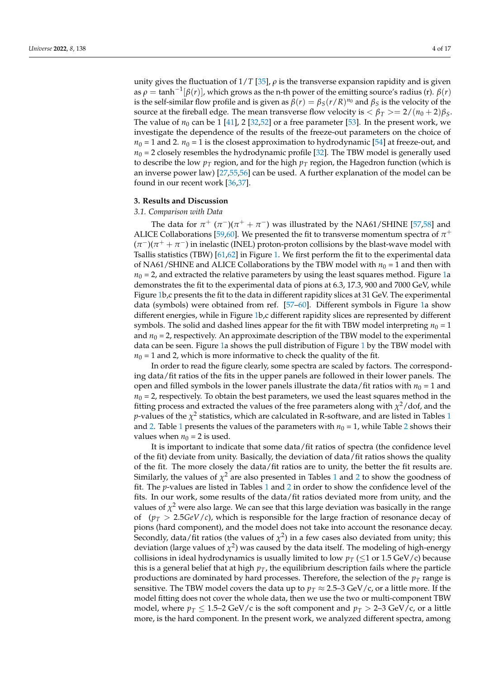unity gives the fluctuation of  $1/T$  [35],  $\rho$  is the transverse expansion rapidity and is given as  $\rho = \tanh^{-1}[\beta(r)]$ , which grows as the n-th power of the emitting source's radius (r).  $\beta(r)$ is the self-similar flow profile and is given as  $\beta(r) = \beta_S(r/R)^{n_0}$  and  $\beta_S$  is the velocity of the source at the fireball edge. The mean transverse flow velocity is  $\langle \beta_T \rangle = 2/(n_0 + 2)\beta_S$ . The value of  $n_0$  can be 1 [41], 2 [32,52] or a free parameter [53]. In the present work, we investigate the dependence of the results of the freeze-out parameters on the choice of  $n_0 = 1$  and 2.  $n_0 = 1$  is the closest approximation to hydrodynamic [54] at freeze-out, and  $n_0$  = 2 closely resembles the hydrodynamic profile [32]. The TBW model is generally used to describe the low  $p_T$  region, and for the high  $p_T$  region, the Hagedron function (which is an inverse power law) [27,55,56] can be used. A further explanation of the model can be found in our recent work [36,37].

## **3. Results and Discussion**

#### *3.1. Comparison with Data*

The data for  $\pi^+$  ( $\pi^-$ )( $\pi^+$  +  $\pi^-$ ) was illustrated by the NA61/SHINE [57,58] and ALICE Collaborations [59,60]. We presented the fit to transverse momentum spectra of  $\pi^+$  $(\pi^{-})(\pi^{+} + \pi^{-})$  in inelastic (INEL) proton-proton collisions by the blast-wave model with Tsallis statistics (TBW) [61,62] in Figure 1. We first perform the fit to the experimental data of NA61/SHINE and ALICE Collaborations by the TBW model with  $n_0 = 1$  and then with  $n_0$  = 2, and extracted the relative parameters by using the least squares method. Figure 1a demonstrates the fit to the experimental data of pions at 6.3, 17.3, 900 and 7000 GeV, while Figure 1b,c presents the fit to the data in different rapidity slices at 31 GeV. The experimental data (symbols) were obtained from ref. [57–60]. Different symbols in Figure 1a show different energies, while in Figure 1b,c different rapidity slices are represented by different symbols. The solid and dashed lines appear for the fit with TBW model interpreting  $n_0 = 1$ and  $n_0 = 2$ , respectively. An approximate description of the TBW model to the experimental data can be seen. Figure 1a shows the pull distribution of Figure 1 by the TBW model with  $n_0$  = 1 and 2, which is more informative to check the quality of the fit.

In order to read the figure clearly, some spectra are scaled by factors. The corresponding data/fit ratios of the fits in the upper panels are followed in their lower panels. The open and filled symbols in the lower panels illustrate the data/fit ratios with  $n_0 = 1$  and  $n_0 = 2$ , respectively. To obtain the best parameters, we used the least squares method in the fitting process and extracted the values of the free parameters along with  $\chi^2/\text{dof}$ , and the  $p$ -values of the  $\chi^2$  statistics, which are calculated in R-software, and are listed in Tables 1 and 2. Table 1 presents the values of the parameters with  $n_0 = 1$ , while Table 2 shows their values when  $n_0 = 2$  is used.

It is important to indicate that some data/fit ratios of spectra (the confidence level of the fit) deviate from unity. Basically, the deviation of data/fit ratios shows the quality of the fit. The more closely the data/fit ratios are to unity, the better the fit results are. Similarly, the values of  $\chi^2$  are also presented in Tables 1 and 2 to show the goodness of fit. The *p*-values are listed in Tables 1 and 2 in order to show the confidence level of the fits. In our work, some results of the data/fit ratios deviated more from unity, and the values of  $\chi^2$  were also large. We can see that this large deviation was basically in the range of  $(p_T > 2.5 GeV/c)$ , which is responsible for the large fraction of resonance decay of pions (hard component), and the model does not take into account the resonance decay. Secondly, data/fit ratios (the values of  $\chi^2$ ) in a few cases also deviated from unity; this deviation (large values of  $\chi^2$ ) was caused by the data itself. The modeling of high-energy collisions in ideal hydrodynamics is usually limited to low  $p_T \leq 1$  or 1.5 GeV/c) because this is a general belief that at high  $p<sub>T</sub>$ , the equilibrium description fails where the particle productions are dominated by hard processes. Therefore, the selection of the  $p<sub>T</sub>$  range is sensitive. The TBW model covers the data up to  $p_T \approx 2.5$ –3 GeV/c, or a little more. If the model fitting does not cover the whole data, then we use the two or multi-component TBW model, where  $p_T \leq 1.5{\text -}2$  GeV/c is the soft component and  $p_T > 2{\text -}3$  GeV/c, or a little more, is the hard component. In the present work, we analyzed different spectra, among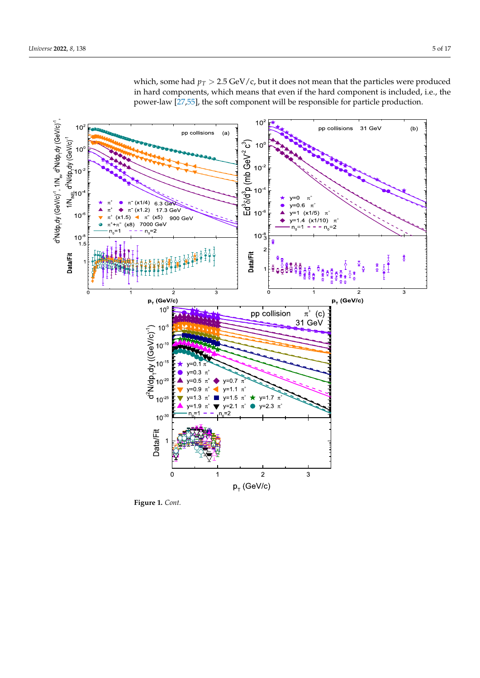

which, some had  $p_T > 2.5$  GeV/c, but it does not mean that the particles were produced in hard components, which means that even if the hard component is included, i.e., the power-law [27,55], the soft component will be responsible for particle production.

**Figure 1.** *Cont.*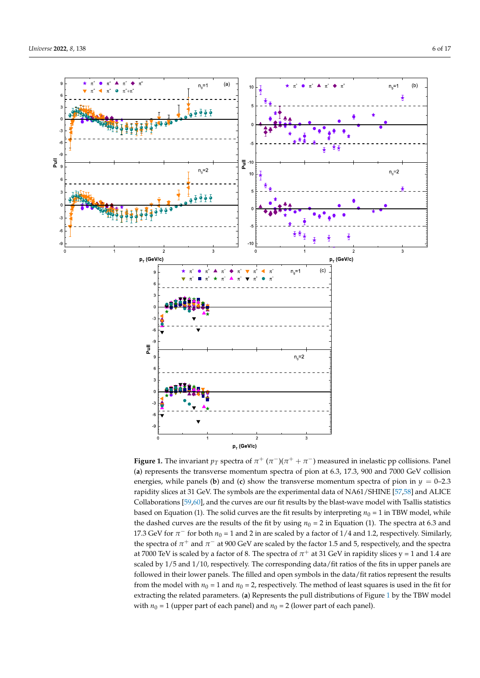

**Figure 1.** The invariant  $p_T$  spectra of  $\pi^+$  ( $\pi^-$ )( $\pi^+$  +  $\pi^-$ ) measured in inelastic pp collisions. Panel (**a**) represents the transverse momentum spectra of pion at 6.3, 17.3, 900 and 7000 GeV collision energies, while panels (**b**) and (**c**) show the transverse momentum spectra of pion in  $y = 0-2.3$ rapidity slices at 31 GeV. The symbols are the experimental data of NA61/SHINE [57,58] and ALICE Collaborations [59,60], and the curves are our fit results by the blast-wave model with Tsallis statistics based on Equation (1). The solid curves are the fit results by interpreting  $n_0 = 1$  in TBW model, while the dashed curves are the results of the fit by using  $n_0 = 2$  in Equation (1). The spectra at 6.3 and 17.3 GeV for  $\pi^-$  for both  $n_0$  = 1 and 2 in are scaled by a factor of 1/4 and 1.2, respectively. Similarly, the spectra of  $\pi^+$  and  $\pi^-$  at 900 GeV are scaled by the factor 1.5 and 5, respectively, and the spectra at 7000 TeV is scaled by a factor of 8. The spectra of  $\pi^+$  at 31 GeV in rapidity slices y = 1 and 1.4 are scaled by 1/5 and 1/10, respectively. The corresponding data/fit ratios of the fits in upper panels are followed in their lower panels. The filled and open symbols in the data/fit ratios represent the results from the model with  $n_0 = 1$  and  $n_0 = 2$ , respectively. The method of least squares is used in the fit for extracting the related parameters. (**a**) Represents the pull distributions of Figure 1 by the TBW model with  $n_0 = 1$  (upper part of each panel) and  $n_0 = 2$  (lower part of each panel).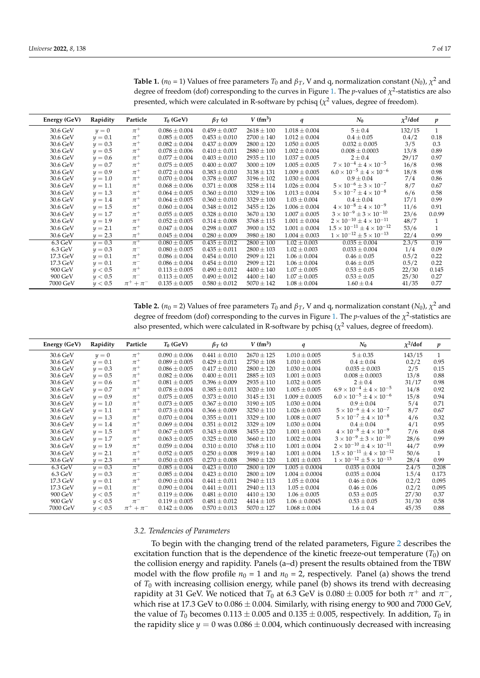| Energy (GeV)      | Rapidity  | Particle            | $T_0$ (GeV)       | $\beta_T$ (c)     | $V$ (fm <sup>3</sup> ) | q                 | $N_0$                                       | $\chi^2$ /dof | $\boldsymbol{p}$ |
|-------------------|-----------|---------------------|-------------------|-------------------|------------------------|-------------------|---------------------------------------------|---------------|------------------|
| 30.6 GeV          | $y=0$     | $\pi^+$             | $0.086 \pm 0.004$ | $0.459 \pm 0.007$ | $2618 \pm 100$         | $1.018 \pm 0.004$ | $5 \pm 0.4$                                 | 132/15        | $\mathbf{1}$     |
| 30.6 GeV          | $y=0.1$   | $\pi^+$             | $0.085 \pm 0.005$ | $0.453 \pm 0.010$ | $2700 \pm 140$         | $1.012 \pm 0.004$ | $0.4 \pm 0.05$                              | 0.4/2         | 0.18             |
| 30.6 GeV          | $y=0.3$   | $\pi^+$             | $0.082 \pm 0.004$ | $0.437 \pm 0.009$ | $2800 \pm 120$         | $1.050 \pm 0.005$ | $0.032 \pm 0.005$                           | 3/5           | 0.3              |
| 30.6 GeV          | $y=0.5$   | $\pi^+$             | $0.078 \pm 0.006$ | $0.410 \pm 0.011$ | $2880 \pm 100$         | $1.002 \pm 0.004$ | $0.008 \pm 0.0003$                          | 13/8          | 0.89             |
| 30.6 GeV          | $y=0.6$   | $\pi^+$             | $0.077 \pm 0.004$ | $0.403 \pm 0.010$ | $2935 \pm 110$         | $1.037 \pm 0.005$ | $2 \pm 0.4$                                 | 29/17         | 0.97             |
| 30.6 GeV          | $y = 0.7$ | $\pi^+$             | $0.075 \pm 0.005$ | $0.400 \pm 0.007$ | $3000 \pm 109$         | $1.005 \pm 0.005$ | $7 \times 10^{-4} \pm 4 \times 10^{-5}$     | 16/8          | 0.98             |
| 30.6 GeV          | $y=0.9$   | $\pi^+$             | $0.072 \pm 0.004$ | $0.383 \pm 0.010$ | $3138 \pm 131$         | $1.009 \pm 0.005$ | $6.0 \times 10^{-5} \pm 4 \times 10^{-6}$   | 18/8          | 0.98             |
| 30.6 GeV          | $y = 1.0$ | $\pi^+$             | $0.070 \pm 0.004$ | $0.378 \pm 0.007$ | $3196 \pm 102$         | $1.030 \pm 0.004$ | $0.9 \pm 0.04$                              | 7/4           | 0.86             |
| 30.6 GeV          | $y = 1.1$ | $\pi^+$             | $0.068 \pm 0.006$ | $0.371 \pm 0.008$ | $3258 \pm 114$         | $1.026 \pm 0.004$ | $5 \times 10^{-6} \pm 3 \times 10^{-7}$     | 8/7           | 0.67             |
| 30.6 GeV          | $y = 1.3$ | $\pi^+$             | $0.064 \pm 0.005$ | $0.360 \pm 0.010$ | $3329 \pm 106$         | $1.013 \pm 0.004$ | $5 \times 10^{-7} \pm 4 \times 10^{-8}$     | 6/6           | 0.58             |
| 30.6 GeV          | $y = 1.4$ | $\pi^+$             | $0.064 \pm 0.005$ | $0.360 \pm 0.010$ | $3329 \pm 100$         | $1.03 \pm 0.004$  | $0.4 \pm 0.04$                              | 17/1          | 0.99             |
| 30.6 GeV          | $y = 1.5$ | $\pi^+$             | $0.060 \pm 0.004$ | $0.348 \pm 0.012$ | $3455 \pm 126$         | $1.006 \pm 0.004$ | $4 \times 10^{-8} \pm 4 \times 10^{-9}$     | 11/6          | 0.91             |
| 30.6 GeV          | $y = 1.7$ | $\pi^+$             | $0.055 \pm 0.005$ | $0.328 \pm 0.010$ | $3670 \pm 130$         | $1.007 \pm 0.005$ | $3 \times 10^{-9} \pm 3 \times 10^{-10}$    | 23/6          | 0.0.99           |
| 30.6 GeV          | $y = 1.9$ | $\pi^+$             | $0.052 \pm 0.005$ | $0.314 \pm 0.008$ | $3768 \pm 115$         | $1.001 \pm 0.004$ | $2 \times 10^{-10} + 4 \times 10^{-11}$     | 48/7          | 1                |
| 30.6 GeV          | $y = 2.1$ | $\pi^+$             | $0.047 \pm 0.004$ | $0.298 \pm 0.007$ | $3900 \pm 152$         | $1.001 \pm 0.004$ | $1.5 \times 10^{-11} \pm 4 \times 10^{-12}$ | 53/6          | 1                |
| 30.6 GeV          | $y = 2.3$ | $\pi^+$             | $0.045 \pm 0.004$ | $0.280 \pm 0.009$ | $3980 \pm 180$         | $1.004 \pm 0.003$ | $1 \times 10^{-12} \pm 5 \times 10^{-13}$   | 22/4          | 0.99             |
| $6.3 \text{ GeV}$ | $y = 0.3$ | $\pi^+$             | $0.080 \pm 0.005$ | $0.435 \pm 0.012$ | $2800 \pm 100$         | $1.02 \pm 0.003$  | $0.035 \pm 0.004$                           | 2.3/5         | 0.19             |
| $6.3 \text{ GeV}$ | $y=0.3$   | $\pi^-$             | $0.080 \pm 0.005$ | $0.435 \pm 0.011$ | $2800 \pm 103$         | $1.02 \pm 0.003$  | $0.033 \pm 0.004$                           | 1/4           | 0.09             |
| 17.3 GeV          | $y=0.1$   | $\pi^+$             | $0.086 \pm 0.004$ | $0.454 \pm 0.010$ | $2909 \pm 121$         | $1.06 \pm 0.004$  | $0.46 \pm 0.05$                             | 0.5/2         | 0.22             |
| 17.3 GeV          | $y=0.1$   | $\pi^-$             | $0.086 \pm 0.004$ | $0.454 \pm 0.010$ | $2909 \pm 121$         | $1.06 \pm 0.004$  | $0.46 \pm 0.05$                             | 0.5/2         | 0.22             |
| 900 GeV           | y < 0.5   | $\pi^+$             | $0.113 \pm 0.005$ | $0.490 \pm 0.012$ | $4400 \pm 140$         | $1.07 \pm 0.005$  | $0.53 \pm 0.05$                             | 22/30         | 0.145            |
| 900 GeV           | y < 0.5   | $\pi^-$             | $0.113 \pm 0.005$ | $0.490 \pm 0.012$ | $4400 \pm 140$         | $1.07 \pm 0.005$  | $0.53 \pm 0.05$                             | 25/30         | 0.27             |
| 7000 GeV          | y < 0.5   | $\pi^{+} + \pi^{-}$ | $0.135 \pm 0.005$ | $0.580 \pm 0.012$ | $5070 \pm 142$         | $1.08 \pm 0.004$  | $1.60 \pm 0.4$                              | 41/35         | 0.77             |

**Table 1.**  $(n_0 = 1)$  Values of free parameters  $T_0$  and  $\beta_T$ , V and q, normalization constant  $(N_0)$ ,  $\chi^2$  and degree of freedom (dof) corresponding to the curves in Figure 1. The *p*-values of  $\chi^2$ -statistics are also presented, which were calculated in R-software by pchisq ( $\chi^2$  values, degree of freedom).

**Table 2.**  $(n_0 = 2)$  Values of free parameters  $T_0$  and  $\beta_T$ , V and q, normalization constant  $(N_0)$ ,  $\chi^2$  and degree of freedom (dof) corresponding to the curves in Figure 1. The *p*-values of the  $\chi^2$ -statistics are also presented, which were calculated in R-software by pchisq ( $\chi^2$  values, degree of freedom).

| Energy (GeV)      | Rapidity    | Particle           | $T_0$ (GeV)       | $\beta_T$ (c)     | $V$ (fm <sup>3</sup> ) | q                  | $N_0$                                     | $\chi^2$ /dof | $\boldsymbol{p}$ |
|-------------------|-------------|--------------------|-------------------|-------------------|------------------------|--------------------|-------------------------------------------|---------------|------------------|
| 30.6 GeV          | $y=0$       | $\pi^+$            | $0.090 \pm 0.006$ | $0.441 \pm 0.010$ | $2670 \pm 125$         | $1.010 \pm 0.005$  | $5 \pm 0.35$                              | 143/15        | $\mathbf{1}$     |
| 30.6 GeV          | $y=0.1$     | $\pi^+$            | $0.089 \pm 0.005$ | $0.429 \pm 0.011$ | $2750 \pm 108$         | $1.010 \pm 0.005$  | $0.4 \pm 0.04$                            | 0.2/2         | 0.95             |
| 30.6 GeV          | $y = 0.3$   | $\pi^+$            | $0.086 \pm 0.005$ | $0.417 \pm 0.010$ | $2800 \pm 120$         | $1.030 \pm 0.004$  | $0.035 \pm 0.003$                         | 2/5           | 0.15             |
| 30.6 GeV          | $y=0.5$     | $\pi^+$            | $0.082 \pm 0.006$ | $0.400 \pm 0.011$ | $2885 \pm 103$         | $1.001 \pm 0.003$  | $0.008 \pm 0.0003$                        | 13/8          | 0.88             |
| 30.6 GeV          | $y=0.6$     | $\pi^+$            | $0.081 \pm 0.005$ | $0.396 \pm 0.009$ | $2935 \pm 110$         | $1.032 \pm 0.005$  | $2 \pm 0.4$                               | 31/17         | 0.98             |
| 30.6 GeV          | $y=0.7$     | $\pi^+$            | $0.078 \pm 0.004$ | $0.385 \pm 0.011$ | $3020 \pm 100$         | $1.005 \pm 0.005$  | $6.9\times10^{-4}\pm4\times10^{-5}$       | 14/8          | 0.92             |
| 30.6 GeV          | $y = 0.9$   | $\pi^+$            | $0.075 \pm 0.005$ | $0.373 \pm 0.010$ | $3145 \pm 131$         | $1.009 \pm 0.0005$ | $6.0 \times 10^{-5} + 4 \times 10^{-6}$   | 15/8          | 0.94             |
| 30.6 GeV          | $y = 1.0$   | $\pi^+$            | $0.073 \pm 0.005$ | $0.367 \pm 0.010$ | $3190 \pm 105$         | $1.030 \pm 0.004$  | $0.9 \pm 0.04$                            | 5/4           | 0.71             |
| 30.6 GeV          | $y = 1.1$   | $\pi^+$            | $0.073 \pm 0.004$ | $0.366 \pm 0.009$ | $3250 \pm 110$         | $1.026 \pm 0.003$  | $5 \times 10^{-6} \pm 4 \times 10^{-7}$   | 8/7           | 0.67             |
| 30.6 GeV          | $y = 1.3$   | $\pi^+$            | $0.070 \pm 0.004$ | $0.355 \pm 0.011$ | $3329 \pm 100$         | $1.008 \pm 0.007$  | $5 \times 10^{-7} \pm 4 \times 10^{-8}$   | 4/6           | 0.32             |
| 30.6 GeV          | $y = 1.4$   | $\pi^+$            | $0.069 \pm 0.004$ | $0.351 \pm 0.012$ | $3329 \pm 109$         | $1.030 \pm 0.004$  | $0.4 \pm 0.04$                            | 4/1           | 0.95             |
| 30.6 GeV          | $y = 1.5$   | $\pi^+$            | $0.067 \pm 0.005$ | $0.343 \pm 0.008$ | $3455 \pm 120$         | $1.001 \pm 0.003$  | $4 \times 10^{-8} \pm 4 \times 10^{-9}$   | 7/6           | 0.68             |
| 30.6 GeV          | $y = 1.7$   | $\pi^+$            | $0.063 \pm 0.005$ | $0.325 \pm 0.010$ | $3660 \pm 110$         | $1.002 \pm 0.004$  | $3 \times 10^{-9} \pm 3 \times 10^{-10}$  | 28/6          | 0.99             |
| 30.6 GeV          | $y = 1.9$   | $\pi^+$            | $0.059 \pm 0.004$ | $0.310 \pm 0.010$ | $3768 \pm 110$         | $1.001 \pm 0.004$  | $2 \times 10^{-10} \pm 4 \times 10^{-11}$ | 44/7          | 0.99             |
| 30.6 GeV          | $y = 2.1$   | $\pi^+$            | $0.052 \pm 0.005$ | $0.250 \pm 0.008$ | $3919 \pm 140$         | $1.001 \pm 0.004$  | $1.5 \times 10^{-11} + 4 \times 10^{-12}$ | 50/6          | $\mathbf{1}$     |
| 30.6 GeV          | $y = 2.3$   | $\pi^+$            | $0.050 \pm 0.005$ | $0.270 \pm 0.008$ | $3980 \pm 120$         | $1.001 \pm 0.003$  | $1 \times 10^{-12} \pm 5 \times 10^{-13}$ | 28/4          | 0.99             |
| $6.3 \text{ GeV}$ | $y = 0.3$   | $\overline{\pi^+}$ | $0.085 \pm 0.004$ | $0.423 \pm 0.010$ | $2800 \pm 109$         | $1.005 \pm 0.0004$ | $0.035 \pm 0.004$                         | 2.4/5         | 0.208            |
| $6.3 \text{ GeV}$ | $y=0.3$     | $\pi^-$            | $0.085 \pm 0.004$ | $0.423 \pm 0.010$ | $2800 \pm 109$         | $1.004 \pm 0.0004$ | $0.035 \pm 0.004$                         | 1.5/4         | 0.173            |
| 17.3 GeV          | $\nu = 0.1$ | $\pi^+$            | $0.090 \pm 0.004$ | $0.441 \pm 0.011$ | $2940 \pm 113$         | $1.05 \pm 0.004$   | $0.46 \pm 0.06$                           | 0.2/2         | 0.095            |
| 17.3 GeV          | $y=0.1$     | $\pi^-$            | $0.090 \pm 0.004$ | $0.441 \pm 0.011$ | $2940 \pm 113$         | $1.05 \pm 0.004$   | $0.46 \pm 0.06$                           | 0.2/2         | 0.095            |
| 900 GeV           | y < 0.5     | $\pi^+$            | $0.119 \pm 0.006$ | $0.481 \pm 0.010$ | $4410 \pm 130$         | $1.06 \pm 0.005$   | $0.53 \pm 0.05$                           | 27/30         | 0.37             |
| 900 GeV           | y < 0.5     | $\pi^-$            | $0.119 \pm 0.005$ | $0.481 \pm 0.012$ | $4414 \pm 105$         | $1.06 \pm 0.0045$  | $0.53 \pm 0.05$                           | 31/30         | 0.58             |
| 7000 GeV          | y < 0.5     | $\pi^+ + \pi^-$    | $0.142 \pm 0.006$ | $0.570 \pm 0.013$ | $5070 \pm 127$         | $1.068 \pm 0.004$  | $1.6 \pm 0.4$                             | 45/35         | 0.88             |

#### *3.2. Tendencies of Parameters*

To begin with the changing trend of the related parameters, Figure 2 describes the excitation function that is the dependence of the kinetic freeze-out temperature  $(T_0)$  on the collision energy and rapidity. Panels (a–d) present the results obtained from the TBW model with the flow profile  $n_0 = 1$  and  $n_0 = 2$ , respectively. Panel (a) shows the trend of *T*<sub>0</sub> with increasing collision energy, while panel (b) shows its trend with decreasing rapidity at 31 GeV. We noticed that  $T_0$  at 6.3 GeV is  $0.080 \pm 0.005$  for both  $\pi^+$  and  $\pi^-$ , which rise at 17.3 GeV to  $0.086 \pm 0.004$ . Similarly, with rising energy to 900 and 7000 GeV, the value of  $T_0$  becomes  $0.113 \pm 0.005$  and  $0.135 \pm 0.005$ , respectively. In addition,  $T_0$  in the rapidity slice  $y = 0$  was  $0.086 \pm 0.004$ , which continuously decreased with increasing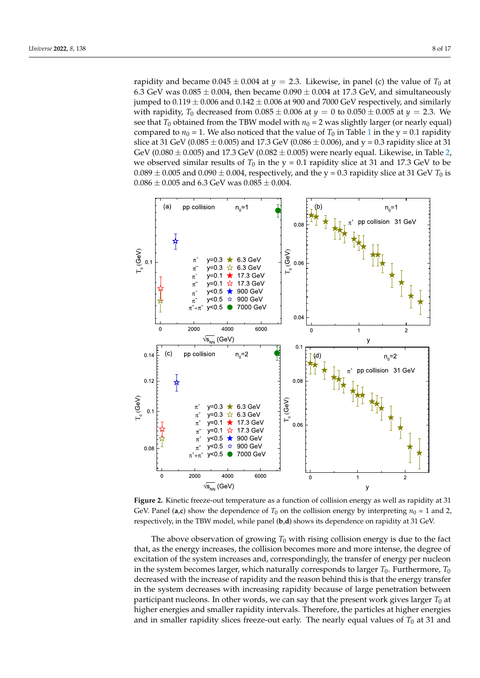rapidity and became  $0.045 \pm 0.004$  at  $y = 2.3$ . Likewise, in panel (c) the value of  $T_0$  at 6.3 GeV was  $0.085 \pm 0.004$ , then became  $0.090 \pm 0.004$  at 17.3 GeV, and simultaneously jumped to  $0.119 \pm 0.006$  and  $0.142 \pm 0.006$  at 900 and 7000 GeV respectively, and similarly with rapidity,  $T_0$  decreased from  $0.085 \pm 0.006$  at  $y = 0$  to  $0.050 \pm 0.005$  at  $y = 2.3$ . We see that  $T_0$  obtained from the TBW model with  $n_0 = 2$  was slightly larger (or nearly equal) compared to  $n_0 = 1$ . We also noticed that the value of  $T_0$  in Table 1 in the y = 0.1 rapidity slice at 31 GeV (0.085  $\pm$  0.005) and 17.3 GeV (0.086  $\pm$  0.006), and y = 0.3 rapidity slice at 31 GeV (0.080  $\pm$  0.005) and 17.3 GeV (0.082  $\pm$  0.005) were nearly equal. Likewise, in Table 2, we observed similar results of  $T_0$  in the y = 0.1 rapidity slice at 31 and 17.3 GeV to be  $0.089 \pm 0.005$  and  $0.090 \pm 0.004$ , respectively, and the y = 0.3 rapidity slice at 31 GeV  $T_0$  is  $0.086 \pm 0.005$  and  $6.3$  GeV was  $0.085 \pm 0.004$ .



**Figure 2.** Kinetic freeze-out temperature as a function of collision energy as well as rapidity at 31 GeV. Panel (a,c) show the dependence of  $T_0$  on the collision energy by interpreting  $n_0 = 1$  and 2, respectively, in the TBW model, while panel (**b**,**d**) shows its dependence on rapidity at 31 GeV.

The above observation of growing  $T_0$  with rising collision energy is due to the fact that, as the energy increases, the collision becomes more and more intense, the degree of excitation of the system increases and, correspondingly, the transfer of energy per nucleon in the system becomes larger, which naturally corresponds to larger  $T_0$ . Furthermore,  $T_0$ decreased with the increase of rapidity and the reason behind this is that the energy transfer in the system decreases with increasing rapidity because of large penetration between participant nucleons. In other words, we can say that the present work gives larger  $T_0$  at higher energies and smaller rapidity intervals. Therefore, the particles at higher energies and in smaller rapidity slices freeze-out early. The nearly equal values of  $T_0$  at 31 and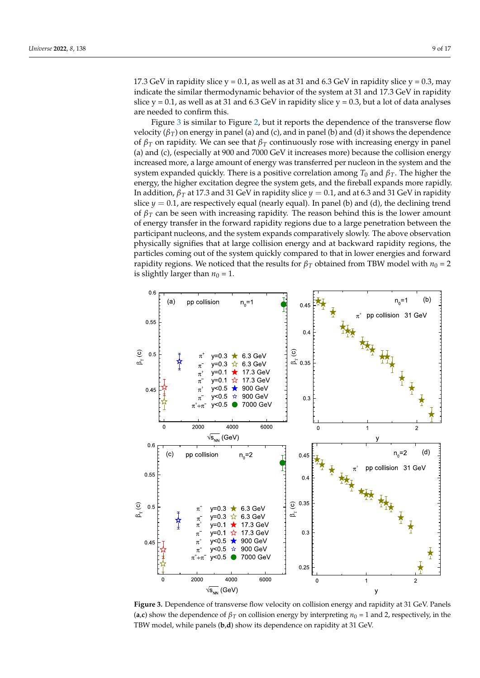17.3 GeV in rapidity slice  $y = 0.1$ , as well as at 31 and 6.3 GeV in rapidity slice  $y = 0.3$ , may indicate the similar thermodynamic behavior of the system at 31 and 17.3 GeV in rapidity slice  $y = 0.1$ , as well as at 31 and 6.3 GeV in rapidity slice  $y = 0.3$ , but a lot of data analyses are needed to confirm this.

Figure 3 is similar to Figure 2, but it reports the dependence of the transverse flow velocity ( $β<sub>T</sub>$ ) on energy in panel (a) and (c), and in panel (b) and (d) it shows the dependence of *β<sup>T</sup>* on rapidity. We can see that *β<sup>T</sup>* continuously rose with increasing energy in panel (a) and (c), (especially at 900 and 7000 GeV it increases more) because the collision energy increased more, a large amount of energy was transferred per nucleon in the system and the system expanded quickly. There is a positive correlation among  $T_0$  and  $\beta_T$ . The higher the energy, the higher excitation degree the system gets, and the fireball expands more rapidly. In addition, *β<sup>T</sup>* at 17.3 and 31 GeV in rapidity slice *y* = 0.1, and at 6.3 and 31 GeV in rapidity slice  $y = 0.1$ , are respectively equal (nearly equal). In panel (b) and (d), the declining trend of *β<sup>T</sup>* can be seen with increasing rapidity. The reason behind this is the lower amount of energy transfer in the forward rapidity regions due to a large penetration between the participant nucleons, and the system expands comparatively slowly. The above observation physically signifies that at large collision energy and at backward rapidity regions, the particles coming out of the system quickly compared to that in lower energies and forward rapidity regions. We noticed that the results for  $\beta_T$  obtained from TBW model with  $n_0 = 2$ is slightly larger than  $n_0 = 1$ .



**Figure 3.** Dependence of transverse flow velocity on collision energy and rapidity at 31 GeV. Panels (**a**,**c**) show the dependence of  $\beta_T$  on collision energy by interpreting  $n_0 = 1$  and 2, respectively, in the TBW model, while panels (**b**,**d**) show its dependence on rapidity at 31 GeV.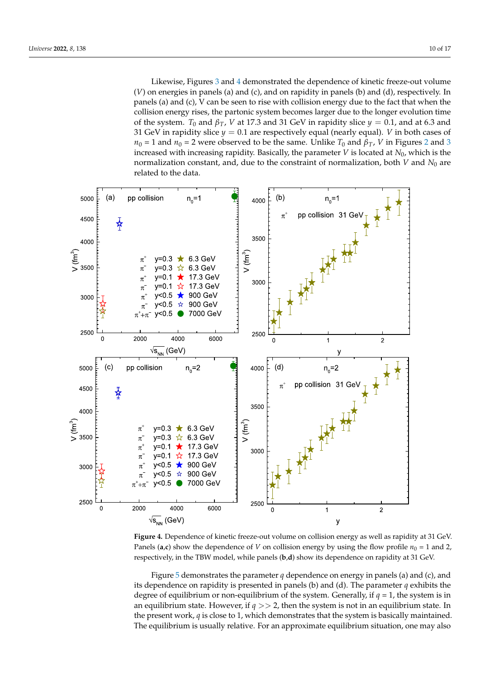Likewise, Figures 3 and 4 demonstrated the dependence of kinetic freeze-out volume (*V*) on energies in panels (a) and (c), and on rapidity in panels (b) and (d), respectively. In panels (a) and (c), V can be seen to rise with collision energy due to the fact that when the collision energy rises, the partonic system becomes larger due to the longer evolution time of the system. *T*<sub>0</sub> and  $\beta_T$ , *V* at 17.3 and 31 GeV in rapidity slice  $y = 0.1$ , and at 6.3 and 31 GeV in rapidity slice  $y = 0.1$  are respectively equal (nearly equal). *V* in both cases of  $n_0 = 1$  and  $n_0 = 2$  were observed to be the same. Unlike  $T_0$  and  $\beta_T$ , *V* in Figures 2 and 3 increased with increasing rapidity. Basically, the parameter *V* is located at *N*0, which is the normalization constant, and, due to the constraint of normalization, both *V* and *N*<sup>0</sup> are related to the data.



**Figure 4.** Dependence of kinetic freeze-out volume on collision energy as well as rapidity at 31 GeV. Panels (**a**,**c**) show the dependence of *V* on collision energy by using the flow profile  $n_0 = 1$  and 2, respectively, in the TBW model, while panels (**b**,**d**) show its dependence on rapidity at 31 GeV.

Figure 5 demonstrates the parameter *q* dependence on energy in panels (a) and (c), and its dependence on rapidity is presented in panels (b) and (d). The parameter *q* exhibits the degree of equilibrium or non-equilibrium of the system. Generally, if  $q = 1$ , the system is in an equilibrium state. However, if  $q \gg 2$ , then the system is not in an equilibrium state. In the present work, *q* is close to 1, which demonstrates that the system is basically maintained. The equilibrium is usually relative. For an approximate equilibrium situation, one may also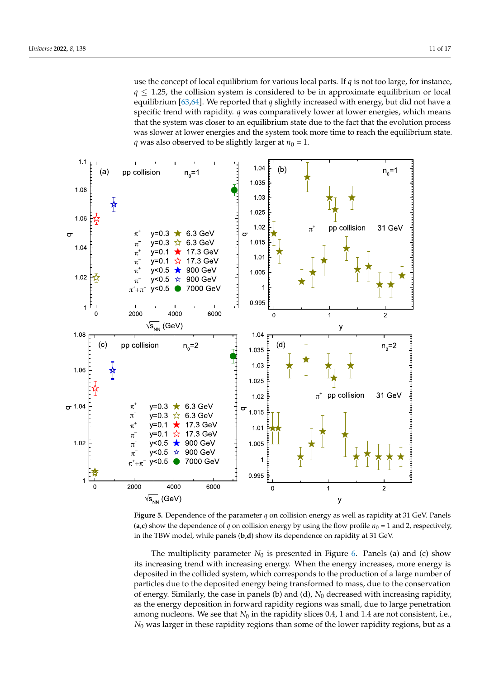use the concept of local equilibrium for various local parts. If *q* is not too large, for instance,  $q \leq 1.25$ , the collision system is considered to be in approximate equilibrium or local equilibrium [63,64]. We reported that *q* slightly increased with energy, but did not have a specific trend with rapidity. *q* was comparatively lower at lower energies, which means that the system was closer to an equilibrium state due to the fact that the evolution process was slower at lower energies and the system took more time to reach the equilibrium state. *q* was also observed to be slightly larger at  $n_0 = 1$ .



**Figure 5.** Dependence of the parameter *q* on collision energy as well as rapidity at 31 GeV. Panels (**a**,**c**) show the dependence of *q* on collision energy by using the flow profile  $n_0 = 1$  and 2, respectively, in the TBW model, while panels (**b**,**d**) show its dependence on rapidity at 31 GeV.

The multiplicity parameter  $N_0$  is presented in Figure 6. Panels (a) and (c) show its increasing trend with increasing energy. When the energy increases, more energy is deposited in the collided system, which corresponds to the production of a large number of particles due to the deposited energy being transformed to mass, due to the conservation of energy. Similarly, the case in panels (b) and (d),  $N_0$  decreased with increasing rapidity, as the energy deposition in forward rapidity regions was small, due to large penetration among nucleons. We see that  $N_0$  in the rapidity slices 0.4, 1 and 1.4 are not consistent, i.e., *N*<sup>0</sup> was larger in these rapidity regions than some of the lower rapidity regions, but as a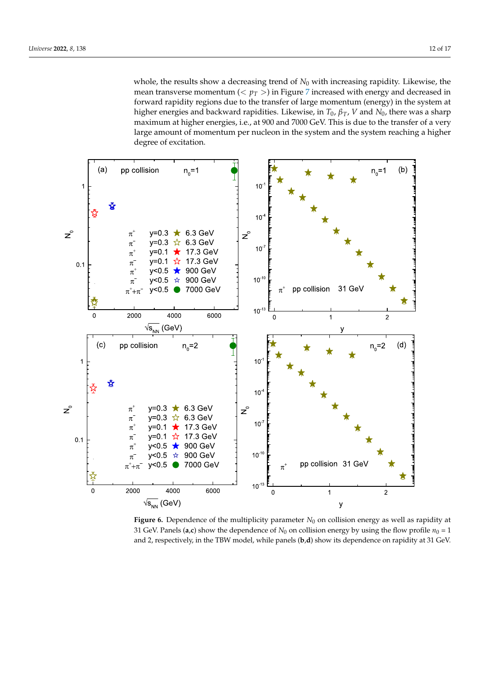whole, the results show a decreasing trend of  $N_0$  with increasing rapidity. Likewise, the mean transverse momentum  $(< p_T >$ ) in Figure 7 increased with energy and decreased in forward rapidity regions due to the transfer of large momentum (energy) in the system at higher energies and backward rapidities. Likewise, in *T*0, *βT*, *V* and *N*0, there was a sharp maximum at higher energies, i.e., at 900 and 7000 GeV. This is due to the transfer of a very large amount of momentum per nucleon in the system and the system reaching a higher degree of excitation.



**Figure 6.** Dependence of the multiplicity parameter  $N_0$  on collision energy as well as rapidity at 31 GeV. Panels (a,c) show the dependence of  $N_0$  on collision energy by using the flow profile  $n_0 = 1$ and 2, respectively, in the TBW model, while panels (**b**,**d**) show its dependence on rapidity at 31 GeV.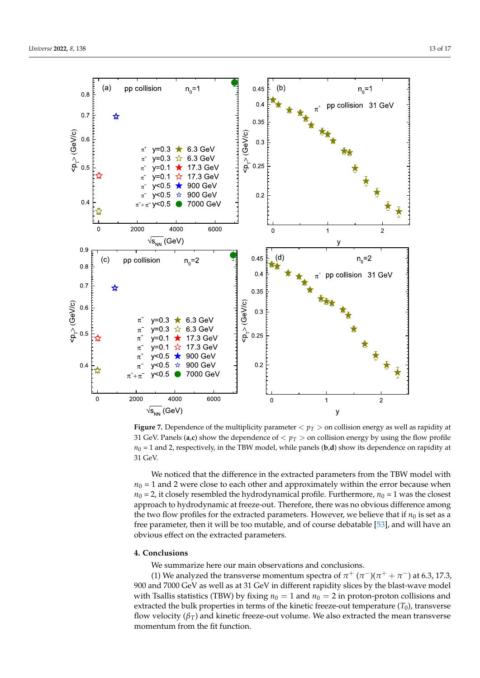

**Figure 7.** Dependence of the multiplicity parameter  $p_T > 0$  concollision energy as well as rapidity at 31 GeV. Panels (a,c) show the dependence of  $p_T > 0$  collision energy by using the flow profile  $n_0 = 1$  and 2, respectively, in the TBW model, while panels (**b**,**d**) show its dependence on rapidity at 31 GeV.

We noticed that the difference in the extracted parameters from the TBW model with  $n_0 = 1$  and 2 were close to each other and approximately within the error because when  $n_0 = 2$ , it closely resembled the hydrodynamical profile. Furthermore,  $n_0 = 1$  was the closest approach to hydrodynamic at freeze-out. Therefore, there was no obvious difference among the two flow profiles for the extracted parameters. However, we believe that if  $n_0$  is set as a free parameter, then it will be too mutable, and of course debatable [53], and will have an obvious effect on the extracted parameters.

### **4. Conclusions**

We summarize here our main observations and conclusions.

(1) We analyzed the transverse momentum spectra of  $\pi^+$  ( $\pi^-$ )( $\pi^+$  +  $\pi^-$ ) at 6.3, 17.3, 900 and 7000 GeV as well as at 31 GeV in different rapidity slices by the blast-wave model with Tsallis statistics (TBW) by fixing  $n_0 = 1$  and  $n_0 = 2$  in proton-proton collisions and extracted the bulk properties in terms of the kinetic freeze-out temperature  $(T_0)$ , transverse flow velocity ( $β_T$ ) and kinetic freeze-out volume. We also extracted the mean transverse momentum from the fit function.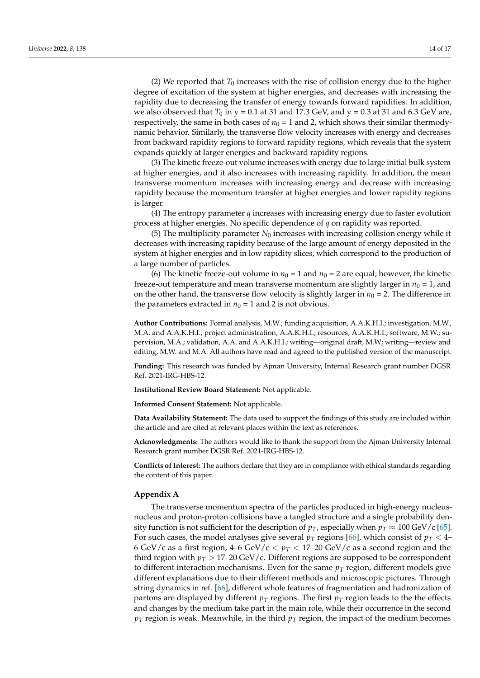(2) We reported that  $T_0$  increases with the rise of collision energy due to the higher degree of excitation of the system at higher energies, and decreases with increasing the rapidity due to decreasing the transfer of energy towards forward rapidities. In addition, we also observed that  $T_0$  in y = 0.1 at 31 and 17.3 GeV, and y = 0.3 at 31 and 6.3 GeV are, respectively, the same in both cases of  $n_0 = 1$  and 2, which shows their similar thermodynamic behavior. Similarly, the transverse flow velocity increases with energy and decreases from backward rapidity regions to forward rapidity regions, which reveals that the system expands quickly at larger energies and backward rapidity regions.

(3) The kinetic freeze-out volume increases with energy due to large initial bulk system at higher energies, and it also increases with increasing rapidity. In addition, the mean transverse momentum increases with increasing energy and decrease with increasing rapidity because the momentum transfer at higher energies and lower rapidity regions is larger.

(4) The entropy parameter *q* increases with increasing energy due to faster evolution process at higher energies. No specific dependence of *q* on rapidity was reported.

(5) The multiplicity parameter  $N_0$  increases with increasing collision energy while it decreases with increasing rapidity because of the large amount of energy deposited in the system at higher energies and in low rapidity slices, which correspond to the production of a large number of particles.

(6) The kinetic freeze-out volume in  $n_0 = 1$  and  $n_0 = 2$  are equal; however, the kinetic freeze-out temperature and mean transverse momentum are slightly larger in  $n_0 = 1$ , and on the other hand, the transverse flow velocity is slightly larger in  $n_0 = 2$ . The difference in the parameters extracted in  $n_0 = 1$  and 2 is not obvious.

**Author Contributions:** Formal analysis, M.W.; funding acquisition, A.A.K.H.I.; investigation, M.W., M.A. and A.A.K.H.I.; project administration, A.A.K.H.I.; resources, A.A.K.H.I.; software, M.W.; supervision, M.A.; validation, A.A. and A.A.K.H.I.; writing—original draft, M.W; writing—review and editing, M.W. and M.A. All authors have read and agreed to the published version of the manuscript.

**Funding:** This research was funded by Ajman University, Internal Research grant number DGSR Ref. 2021-IRG-HBS-12.

**Institutional Review Board Statement:** Not applicable.

**Informed Consent Statement:** Not applicable.

**Data Availability Statement:** The data used to support the findings of this study are included within the article and are cited at relevant places within the text as references.

**Acknowledgments:** The authors would like to thank the support from the Ajman University Internal Research grant number DGSR Ref. 2021-IRG-HBS-12.

**Conflicts of Interest:** The authors declare that they are in compliance with ethical standards regarding the content of this paper.

#### **Appendix A**

The transverse momentum spectra of the particles produced in high-energy nucleusnucleus and proton-proton collisions have a tangled structure and a single probability density function is not sufficient for the description of  $p_T$ , especially when  $p_T \approx 100 \,\text{GeV/c}$  [65]. For such cases, the model analyses give several  $p_T$  regions [66], which consist of  $p_T < 4$ – 6 GeV/c as a first region,  $4-6$  GeV/c  $\lt p_T \lt 17-20$  GeV/c as a second region and the third region with  $p_T > 17$ –20 GeV/c. Different regions are supposed to be correspondent to different interaction mechanisms. Even for the same  $p_T$  region, different models give different explanations due to their different methods and microscopic pictures. Through string dynamics in ref. [66], different whole features of fragmentation and hadronization of partons are displayed by different  $p<sub>T</sub>$  regions. The first  $p<sub>T</sub>$  region leads to the the effects and changes by the medium take part in the main role, while their occurrence in the second  $p_T$  region is weak. Meanwhile, in the third  $p_T$  region, the impact of the medium becomes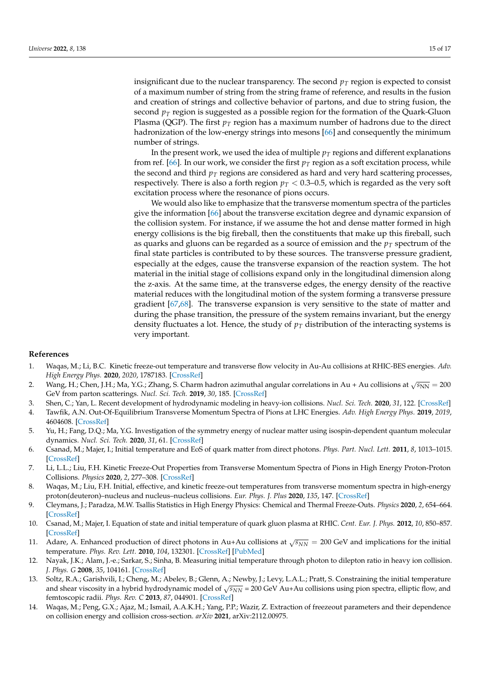insignificant due to the nuclear transparency. The second  $p_T$  region is expected to consist of a maximum number of string from the string frame of reference, and results in the fusion and creation of strings and collective behavior of partons, and due to string fusion, the second  $p<sub>T</sub>$  region is suggested as a possible region for the formation of the Quark-Gluon Plasma (QGP). The first  $p<sub>T</sub>$  region has a maximum number of hadrons due to the direct hadronization of the low-energy strings into mesons [66] and consequently the minimum number of strings.

In the present work, we used the idea of multiple  $p_T$  regions and different explanations from ref. [66]. In our work, we consider the first  $p_T$  region as a soft excitation process, while the second and third  $p<sub>T</sub>$  regions are considered as hard and very hard scattering processes, respectively. There is also a forth region  $p<sub>T</sub> < 0.3-0.5$ , which is regarded as the very soft excitation process where the resonance of pions occurs.

We would also like to emphasize that the transverse momentum spectra of the particles give the information [66] about the transverse excitation degree and dynamic expansion of the collision system. For instance, if we assume the hot and dense matter formed in high energy collisions is the big fireball, then the constituents that make up this fireball, such as quarks and gluons can be regarded as a source of emission and the  $p<sub>T</sub>$  spectrum of the final state particles is contributed to by these sources. The transverse pressure gradient, especially at the edges, cause the transverse expansion of the reaction system. The hot material in the initial stage of collisions expand only in the longitudinal dimension along the z-axis. At the same time, at the transverse edges, the energy density of the reactive material reduces with the longitudinal motion of the system forming a transverse pressure gradient [67,68]. The transverse expansion is very sensitive to the state of matter and during the phase transition, the pressure of the system remains invariant, but the energy density fluctuates a lot. Hence, the study of  $p<sub>T</sub>$  distribution of the interacting systems is very important.

#### **References**

- 1. Waqas, M.; Li, B.C. Kinetic freeze-out temperature and transverse flow velocity in Au-Au collisions at RHIC-BES energies. *Adv. High Energy Phys.* **2020**, *2020*, 1787183. [CrossRef]
- 2. Wang, H.; Chen, J.H.; Ma, Y.G.; Zhang, S. Charm hadron azimuthal angular correlations in Au + Au collisions at  $\sqrt{s_{NN}}=200$ GeV from parton scatterings. *Nucl. Sci. Tech.* **2019**, *30*, 185. [CrossRef]
- 3. Shen, C.; Yan, L. Recent development of hydrodynamic modeling in heavy-ion collisions. *Nucl. Sci. Tech*. **2020**, *31*, 122. [CrossRef]
- 4. Tawfik, A.N. Out-Of-Equilibrium Transverse Momentum Spectra of Pions at LHC Energies. *Adv. High Energy Phys.* **2019**, *2019*, 4604608. [CrossRef]
- 5. Yu, H.; Fang, D.Q.; Ma, Y.G. Investigation of the symmetry energy of nuclear matter using isospin-dependent quantum molecular dynamics. *Nucl. Sci. Tech.* **2020**, *31*, 61. [CrossRef]
- 6. Csanad, M.; Majer, I.; Initial temperature and EoS of quark matter from direct photons. *Phys. Part. Nucl. Lett.* **2011**, *8*, 1013–1015. [CrossRef]
- 7. Li, L.L.; Liu, F.H. Kinetic Freeze-Out Properties from Transverse Momentum Spectra of Pions in High Energy Proton-Proton Collisions. *Physics* **2020**, *2*, 277–308. [CrossRef]
- 8. Waqas, M.; Liu, F.H. Initial, effective, and kinetic freeze-out temperatures from transverse momentum spectra in high-energy proton(deuteron)–nucleus and nucleus–nucleus collisions. *Eur. Phys. J. Plus* **2020**, *135*, 147. [CrossRef]
- 9. Cleymans, J.; Paradza, M.W. Tsallis Statistics in High Energy Physics: Chemical and Thermal Freeze-Outs. *Physics* **2020**, *2*, 654–664. [CrossRef]
- 10. Csanad, M.; Majer, I. Equation of state and initial temperature of quark gluon plasma at RHIC. *Cent. Eur. J. Phys.* **2012**, *10*, 850–857. [CrossRef]
- 11. Adare, A. Enhanced production of direct photons in Au+Au collisions at  $\sqrt{s_{NN}} = 200$  GeV and implications for the initial temperature. *Phys. Rev. Lett.* **2010**, *104*, 132301. [CrossRef] [PubMed]
- 12. Nayak, J.K.; Alam, J.-e.; Sarkar, S.; Sinha, B. Measuring initial temperature through photon to dilepton ratio in heavy ion collision. *J. Phys. G* **2008**, *35*, 104161. [CrossRef]
- 13. Soltz, R.A.; Garishvili, I.; Cheng, M.; Abelev, B.; Glenn, A.; Newby, J.; Levy, L.A.L.; Pratt, S. Constraining the initial temperature and shear viscosity in a hybrid hydrodynamic model of √s<sub>NN</sub> = 200 GeV Au+Au collisions using pion spectra, elliptic flow, and femtoscopic radii. *Phys. Rev. C* **2013**, *87*, 044901. [CrossRef]
- 14. Waqas, M.; Peng, G.X.; Ajaz, M.; Ismail, A.A.K.H.; Yang, P.P.; Wazir, Z. Extraction of freezeout parameters and their dependence on collision energy and collision cross-section. *arXiv* **2021**, arXiv:2112.00975.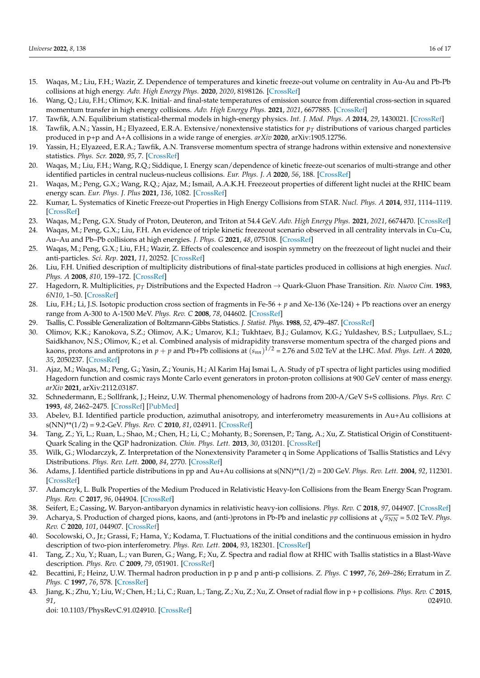- 15. Waqas, M.; Liu, F.H.; Wazir, Z. Dependence of temperatures and kinetic freeze-out volume on centrality in Au-Au and Pb-Pb collisions at high energy. *Adv. High Energy Phys.* **2020**, *2020*, 8198126. [CrossRef]
- 16. Wang, Q.; Liu, F.H.; Olimov, K.K. Initial- and final-state temperatures of emission source from differential cross-section in squared momentum transfer in high energy collisions. *Adv. High Energy Phys.* **2021**, *2021*, 6677885. [CrossRef]
- 17. Tawfik, A.N. Equilibrium statistical-thermal models in high-energy physics. *Int. J. Mod. Phys. A* **2014**, *29*, 1430021. [CrossRef]
- 18. Tawfik, A.N.; Yassin, H.; Elyazeed, E.R.A. Extensive/nonextensive statistics for *p<sup>T</sup>* distributions of various charged particles produced in p+p and A+A collisions in a wide range of energies. *arXiv* **2020**, arXiv:1905.12756.
- 19. Yassin, H.; Elyazeed, E.R.A.; Tawfik, A.N. Transverse momentum spectra of strange hadrons within extensive and nonextensive statistics. *Phys. Scr.* **2020**, *95*, 7. [CrossRef]
- 20. Waqas, M.; Liu, F.H.; Wang, R.Q.; Siddique, I. Energy scan/dependence of kinetic freeze-out scenarios of multi-strange and other identified particles in central nucleus-nucleus collisions. *Eur. Phys. J. A* **2020**, *56*, 188. [CrossRef]
- 21. Waqas, M.; Peng, G.X.; Wang, R.Q.; Ajaz, M.; Ismail, A.A.K.H. Freezeout properties of different light nuclei at the RHIC beam energy scan. *Eur. Phys. J. Plus* **2021**, *136*, 1082. [CrossRef]
- 22. Kumar, L. Systematics of Kinetic Freeze-out Properties in High Energy Collisions from STAR. *Nucl. Phys. A* **2014**, *931*, 1114–1119. [CrossRef]
- 23. Waqas, M.; Peng, G.X. Study of Proton, Deuteron, and Triton at 54.4 GeV. *Adv. High Energy Phys.* **2021**, *2021*, 6674470. [CrossRef]
- 24. Waqas, M.; Peng, G.X.; Liu, F.H. An evidence of triple kinetic freezeout scenario observed in all centrality intervals in Cu–Cu, Au–Au and Pb–Pb collisions at high energies. *J. Phys. G* **2021**, *48*, 075108. [CrossRef]
- 25. Waqas, M.; Peng, G.X.; Liu, F.H.; Wazir, Z. Effects of coalescence and isospin symmetry on the freezeout of light nuclei and their anti-particles. *Sci. Rep*. **2021**, *11*, 20252. [CrossRef]
- 26. Liu, F.H. Unified description of multiplicity distributions of final-state particles produced in collisions at high energies. *Nucl. Phys. A* **2008**, *810*, 159–172. [CrossRef]
- 27. Hagedorn, R. Multiplicities, *p<sup>T</sup>* Distributions and the Expected Hadron → Quark-Gluon Phase Transition. *Riv. Nuovo Cim.* **1983**, *6N10*, 1–50. [CrossRef]
- 28. Liu, F.H.; Li, J.S. Isotopic production cross section of fragments in Fe-56 + *p* and Xe-136 (Xe-124) + Pb reactions over an energy range from A-300 to A-1500 MeV. *Phys. Rev. C* **2008**, *78*, 044602. [CrossRef]
- 29. Tsallis, C. Possible Generalization of Boltzmann-Gibbs Statistics. *J. Statist. Phys.* **1988**, *52*, 479–487. [CrossRef]
- 30. Olimov, K.K.; Kanokova, S.Z.; Olimov, A.K.; Umarov, K.I.; Tukhtaev, B.J.; Gulamov, K.G.; Yuldashev, B.S.; Lutpullaev, S.L.; Saidkhanov, N.S.; Olimov, K.; et al. Combined analysis of midrapidity transverse momentum spectra of the charged pions and kaons, protons and antiprotons in *p* + *p* and Pb+Pb collisions at (*snn*) 1/2 = 2.76 and 5.02 TeV at the LHC. *Mod. Phys. Lett. A* **2020**, *35*, 2050237. [CrossRef]
- 31. Ajaz, M.; Waqas, M.; Peng, G.; Yasin, Z.; Younis, H.; Al Karim Haj Ismai L, A. Study of pT spectra of light particles using modified Hagedorn function and cosmic rays Monte Carlo event generators in proton-proton collisions at 900 GeV center of mass energy. *arXiv* **2021**, arXiv:2112.03187.
- 32. Schnedermann, E.; Sollfrank, J.; Heinz, U.W. Thermal phenomenology of hadrons from 200-A/GeV S+S collisions. *Phys. Rev. C* **1993**, *48*, 2462–2475. [CrossRef] [PubMed]
- 33. Abelev, B.I. Identified particle production, azimuthal anisotropy, and interferometry measurements in Au+Au collisions at s(NN)\*\*(1/2) = 9.2-GeV. *Phys. Rev. C* **2010**, *81*, 024911. [CrossRef]
- 34. Tang, Z.; Yi, L.; Ruan, L.; Shao, M.; Chen, H.; Li, C.; Mohanty, B.; Sorensen, P.; Tang, A.; Xu, Z. Statistical Origin of Constituent-Quark Scaling in the QGP hadronization. *Chin. Phys. Lett.* **2013**, *30*, 031201. [CrossRef]
- 35. Wilk, G.; Wlodarczyk, Z. Interpretation of the Nonextensivity Parameter q in Some Applications of Tsallis Statistics and Lévy Distributions. *Phys. Rev. Lett.* **2000**, *84*, 2770. [CrossRef]
- 36. Adams, J. Identified particle distributions in pp and Au+Au collisions at s(NN)\*\*(1/2) = 200 GeV. *Phys. Rev. Lett.* **2004**, *92*, 112301. [CrossRef]
- 37. Adamczyk, L. Bulk Properties of the Medium Produced in Relativistic Heavy-Ion Collisions from the Beam Energy Scan Program. *Phys. Rev. C* **2017**, *96*, 044904. [CrossRef]
- 38. Seifert, E.; Cassing, W. Baryon-antibaryon dynamics in relativistic heavy-ion collisions. *Phys. Rev. C* **2018**, *97*, 044907. [CrossRef]
- 39. Acharya, S. Production of charged pions, kaons, and (anti-)protons in Pb-Pb and inelastic  $pp$  collisions at  $\sqrt{s_{NN}}$  = 5.02 TeV. *Phys. Rev. C* **2020**, *101*, 044907. [CrossRef]
- 40. Socolowski, O., Jr.; Grassi, F.; Hama, Y.; Kodama, T. Fluctuations of the initial conditions and the continuous emission in hydro description of two-pion interferometry. *Phys. Rev. Lett.* **2004**, *93*, 182301. [CrossRef]
- 41. Tang, Z.; Xu, Y.; Ruan, L.; van Buren, G.; Wang, F.; Xu, Z. Spectra and radial flow at RHIC with Tsallis statistics in a Blast-Wave description. *Phys. Rev. C* **2009**, *79*, 051901. [CrossRef]
- 42. Becattini, F.; Heinz, U.W. Thermal hadron production in p p and p anti-p collisions. *Z. Phys. C* **1997**, *76*, 269–286; Erratum in *Z. Phys. C* **1997**, *76*, 578. [CrossRef]
- 43. Jiang, K.; Zhu, Y.; Liu, W.; Chen, H.; Li, C.; Ruan, L.; Tang, Z.; Xu, Z.; Xu, Z. Onset of radial flow in p + p collisions. *Phys. Rev. C* **2015**, *91*, 024910.

doi: 10.1103/PhysRevC.91.024910. [CrossRef]